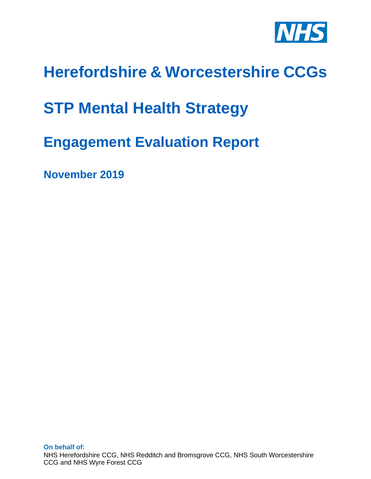

# **Herefordshire & Worcestershire CCGs**

# **STP Mental Health Strategy**

# **Engagement Evaluation Report**

**November 2019**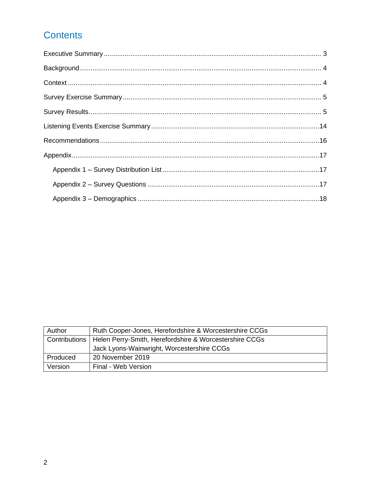# Contents

| Author        | Ruth Cooper-Jones, Herefordshire & Worcestershire CCGs |  |  |
|---------------|--------------------------------------------------------|--|--|
| Contributions | Helen Perry-Smith, Herefordshire & Worcestershire CCGs |  |  |
|               | Jack Lyons-Wainwright, Worcestershire CCGs             |  |  |
| Produced      | 20 November 2019                                       |  |  |
| Version       | Final - Web Version                                    |  |  |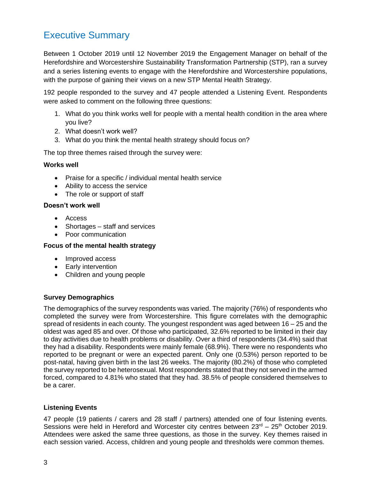# <span id="page-2-0"></span>Executive Summary

Between 1 October 2019 until 12 November 2019 the Engagement Manager on behalf of the Herefordshire and Worcestershire Sustainability Transformation Partnership (STP), ran a survey and a series listening events to engage with the Herefordshire and Worcestershire populations, with the purpose of gaining their views on a new STP Mental Health Strategy.

192 people responded to the survey and 47 people attended a Listening Event. Respondents were asked to comment on the following three questions:

- 1. What do you think works well for people with a mental health condition in the area where you live?
- 2. What doesn't work well?
- 3. What do you think the mental health strategy should focus on?

The top three themes raised through the survey were:

#### **Works well**

- Praise for a specific / individual mental health service
- Ability to access the service
- The role or support of staff

#### **Doesn't work well**

- Access
- Shortages staff and services
- Poor communication

#### **Focus of the mental health strategy**

- Improved access
- Early intervention
- Children and young people

#### **Survey Demographics**

The demographics of the survey respondents was varied. The majority (76%) of respondents who completed the survey were from Worcestershire. This figure correlates with the demographic spread of residents in each county. The youngest respondent was aged between 16 – 25 and the oldest was aged 85 and over. Of those who participated, 32.6% reported to be limited in their day to day activities due to health problems or disability. Over a third of respondents (34.4%) said that they had a disability. Respondents were mainly female (68.9%). There were no respondents who reported to be pregnant or were an expected parent. Only one (0.53%) person reported to be post-natal, having given birth in the last 26 weeks. The majority (80.2%) of those who completed the survey reported to be heterosexual. Most respondents stated that they not served in the armed forced, compared to 4.81% who stated that they had. 38.5% of people considered themselves to be a carer.

#### **Listening Events**

47 people (19 patients / carers and 28 staff / partners) attended one of four listening events. Sessions were held in Hereford and Worcester city centres between  $23<sup>rd</sup> - 25<sup>th</sup>$  October 2019. Attendees were asked the same three questions, as those in the survey. Key themes raised in each session varied. Access, children and young people and thresholds were common themes.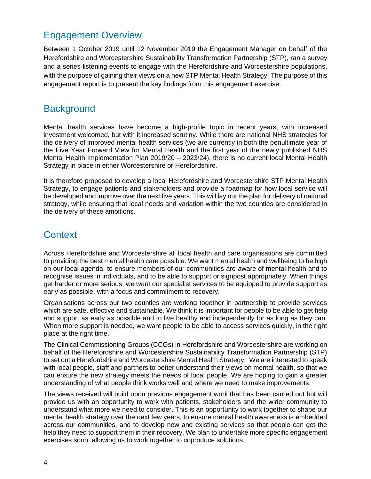## Engagement Overview

Between 1 October 2019 until 12 November 2019 the Engagement Manager on behalf of the Herefordshire and Worcestershire Sustainability Transformation Partnership (STP), ran a survey and a series listening events to engage with the Herefordshire and Worcestershire populations, with the purpose of gaining their views on a new STP Mental Health Strategy. The purpose of this engagement report is to present the key findings from this engagement exercise.

### <span id="page-3-0"></span>**Background**

Mental health services have become a high-profile topic in recent years, with increased investment welcomed, but with it increased scrutiny. While there are national NHS strategies for the delivery of improved mental health services (we are currently in both the penultimate year of the Five Year Forward View for Mental Health and the first year of the newly published NHS Mental Health Implementation Plan 2019/20 – 2023/24), there is no current local Mental Health Strategy in place in either Worcestershire or Herefordshire.

It is therefore proposed to develop a local Herefordshire and Worcestershire STP Mental Health Strategy, to engage patients and stakeholders and provide a roadmap for how local service will be developed and improve over the next five years. This will lay out the plan for delivery of national strategy, while ensuring that local needs and variation within the two counties are considered in the delivery of these ambitions.

### <span id="page-3-1"></span>**Context**

Across Herefordshire and Worcestershire all local health and care organisations are committed to providing the best mental health care possible. We want mental health and wellbeing to be high on our local agenda, to ensure members of our communities are aware of mental health and to recognise issues in individuals, and to be able to support or signpost appropriately. When things get harder or more serious, we want our specialist services to be equipped to provide support as early as possible, with a focus and commitment to recovery.

Organisations across our two counties are working together in partnership to provide services which are safe, effective and sustainable. We think it is important for people to be able to get help and support as early as possible and to live healthy and independently for as long as they can. When more support is needed, we want people to be able to access services quickly, in the right place at the right time.

The Clinical Commissioning Groups (CCGs) in Herefordshire and Worcestershire are working on behalf of the Herefordshire and Worcestershire Sustainability Transformation Partnership (STP) to set out a Herefordshire and Worcestershire Mental Health Strategy. We are interested to speak with local people, staff and partners to better understand their views on mental health, so that we can ensure the new strategy meets the needs of local people. We are hoping to gain a greater understanding of what people think works well and where we need to make improvements.

The views received will build upon previous engagement work that has been carried out but will provide us with an opportunity to work with patients, stakeholders and the wider community to understand what more we need to consider. This is an opportunity to work together to shape our mental health strategy over the next few years, to ensure mental health awareness is embedded across our communities, and to develop new and existing services so that people can get the help they need to support them in their recovery. We plan to undertake more specific engagement exercises soon, allowing us to work together to coproduce solutions.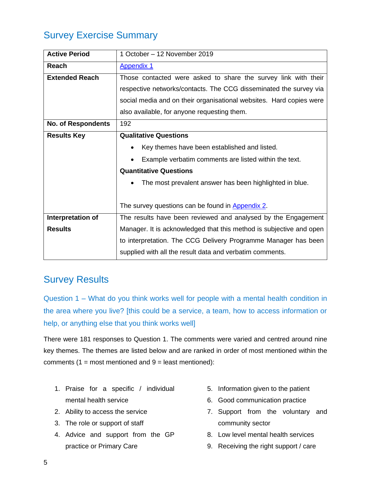# <span id="page-4-0"></span>Survey Exercise Summary

| <b>Active Period</b>      | 1 October - 12 November 2019                                        |  |  |  |
|---------------------------|---------------------------------------------------------------------|--|--|--|
| <b>Reach</b>              | <b>Appendix 1</b>                                                   |  |  |  |
| <b>Extended Reach</b>     | Those contacted were asked to share the survey link with their      |  |  |  |
|                           | respective networks/contacts. The CCG disseminated the survey via   |  |  |  |
|                           | social media and on their organisational websites. Hard copies were |  |  |  |
|                           | also available, for anyone requesting them.                         |  |  |  |
| <b>No. of Respondents</b> | 192                                                                 |  |  |  |
| <b>Results Key</b>        | <b>Qualitative Questions</b>                                        |  |  |  |
|                           | Key themes have been established and listed.                        |  |  |  |
|                           | Example verbatim comments are listed within the text.               |  |  |  |
|                           | <b>Quantitative Questions</b>                                       |  |  |  |
|                           | The most prevalent answer has been highlighted in blue.             |  |  |  |
|                           |                                                                     |  |  |  |
|                           | The survey questions can be found in Appendix 2.                    |  |  |  |
| Interpretation of         | The results have been reviewed and analysed by the Engagement       |  |  |  |
| <b>Results</b>            | Manager. It is acknowledged that this method is subjective and open |  |  |  |
|                           | to interpretation. The CCG Delivery Programme Manager has been      |  |  |  |
|                           | supplied with all the result data and verbatim comments.            |  |  |  |

# <span id="page-4-1"></span>Survey Results

Question 1 – What do you think works well for people with a mental health condition in the area where you live? [this could be a service, a team, how to access information or help, or anything else that you think works well]

There were 181 responses to Question 1. The comments were varied and centred around nine key themes. The themes are listed below and are ranked in order of most mentioned within the comments  $(1 = \text{most mentioned and } 9 = \text{least mentioned})$ :

- 1. Praise for a specific / individual mental health service
- 2. Ability to access the service
- 3. The role or support of staff
- 4. Advice and support from the GP practice or Primary Care
- 5. Information given to the patient
- 6. Good communication practice
- 7. Support from the voluntary and community sector
- 8. Low level mental health services
- 9. Receiving the right support / care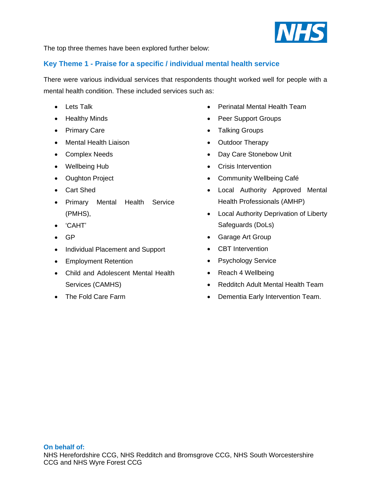

The top three themes have been explored further below:

#### **Key Theme 1 - Praise for a specific / individual mental health service**

There were various individual services that respondents thought worked well for people with a mental health condition. These included services such as:

- Lets Talk
- Healthy Minds
- Primary Care
- Mental Health Liaison
- Complex Needs
- Wellbeing Hub
- Oughton Project
- Cart Shed
- Primary Mental Health Service (PMHS),
- 'CAHT'
- GP
- Individual Placement and Support
- Employment Retention
- Child and Adolescent Mental Health Services (CAMHS)
- The Fold Care Farm
- Perinatal Mental Health Team
- Peer Support Groups
- Talking Groups
- Outdoor Therapy
- Day Care Stonebow Unit
- Crisis Intervention
- Community Wellbeing Café
- Local Authority Approved Mental Health Professionals (AMHP)
- Local Authority Deprivation of Liberty Safeguards (DoLs)
- Garage Art Group
- CBT Intervention
- Psychology Service
- Reach 4 Wellbeing
- Redditch Adult Mental Health Team
- Dementia Early Intervention Team.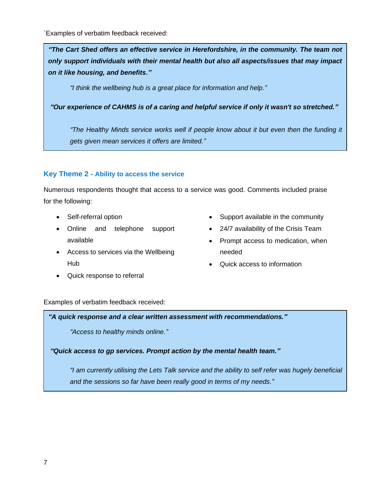`Examples of verbatim feedback received:

*"The Cart Shed offers an effective service in Herefordshire, in the community. The team not only support individuals with their mental health but also all aspects/issues that may impact on it like housing, and benefits."*

*"I think the wellbeing hub is a great place for information and help."*

*"Our experience of CAHMS is of a caring and helpful service if only it wasn't so stretched."*

*"The Healthy Minds service works well if people know about it but even then the funding it gets given mean services it offers are limited."*

#### **Key Theme 2 - Ability to access the service**

Numerous respondents thought that access to a service was good. Comments included praise for the following:

- Self-referral option
- Online and telephone support available
- Access to services via the Wellbeing Hub
- Quick response to referral
- Support available in the community
- 24/7 availability of the Crisis Team
- Prompt access to medication, when needed
- Quick access to information

Examples of verbatim feedback received:

*"A quick response and a clear written assessment with recommendations."*

*"Access to healthy minds online."*

*"Quick access to gp services. Prompt action by the mental health team."*

*"I am currently utilising the Lets Talk service and the ability to self refer was hugely beneficial and the sessions so far have been really good in terms of my needs."*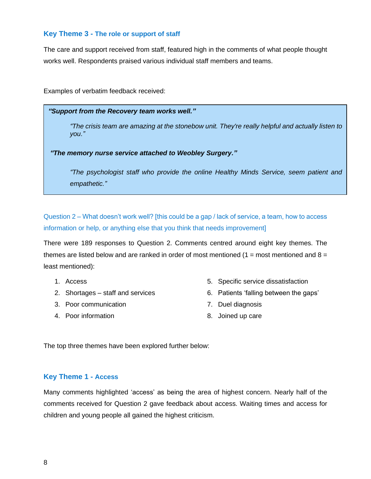#### **Key Theme 3 - The role or support of staff**

The care and support received from staff, featured high in the comments of what people thought works well. Respondents praised various individual staff members and teams.

Examples of verbatim feedback received:

#### *"Support from the Recovery team works well."*

*"The crisis team are amazing at the stonebow unit. They're really helpful and actually listen to you."*

*"The memory nurse service attached to Weobley Surgery."*

*"The psychologist staff who provide the online Healthy Minds Service, seem patient and empathetic."*

Question 2 – What doesn't work well? [this could be a gap / lack of service, a team, how to access information or help, or anything else that you think that needs improvement]

There were 189 responses to Question 2. Comments centred around eight key themes. The themes are listed below and are ranked in order of most mentioned  $(1 = \text{most mentioned and } 8 =$ least mentioned):

- 1. Access
- 2. Shortages staff and services
- 3. Poor communication
- 4. Poor information
- 5. Specific service dissatisfaction
- 6. Patients 'falling between the gaps'
- 7. Duel diagnosis
- 8. Joined up care

The top three themes have been explored further below:

#### **Key Theme 1 - Access**

Many comments highlighted 'access' as being the area of highest concern. Nearly half of the comments received for Question 2 gave feedback about access. Waiting times and access for children and young people all gained the highest criticism.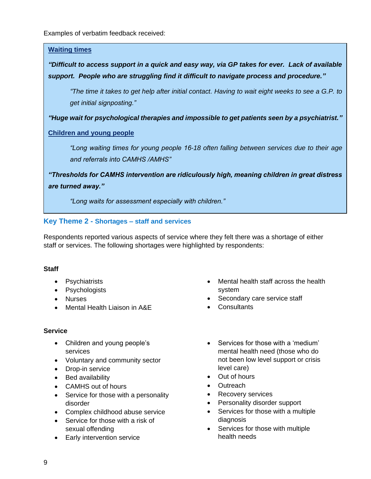Examples of verbatim feedback received:

#### **Waiting times**

### *"Difficult to access support in a quick and easy way, via GP takes for ever. Lack of available support. People who are struggling find it difficult to navigate process and procedure."*

*"The time it takes to get help after initial contact. Having to wait eight weeks to see a G.P. to get initial signposting."*

*"Huge wait for psychological therapies and impossible to get patients seen by a psychiatrist."*

#### **Children and young people**

*"Long waiting times for young people 16-18 often falling between services due to their age and referrals into CAMHS /AMHS"*

*"Thresholds for CAMHS intervention are ridiculously high, meaning children in great distress are turned away."*

*"Long waits for assessment especially with children."*

#### **Key Theme 2 - Shortages – staff and services**

Respondents reported various aspects of service where they felt there was a shortage of either staff or services. The following shortages were highlighted by respondents:

#### **Staff**

- Psychiatrists
- Psychologists
- Nurses
- Mental Health Liaison in A&E

#### **Service**

- Children and young people's services
- Voluntary and community sector
- Drop-in service
- Bed availability
- CAMHS out of hours
- Service for those with a personality disorder
- Complex childhood abuse service
- Service for those with a risk of sexual offending
- Early intervention service
- Mental health staff across the health system
- Secondary care service staff
- Consultants
- Services for those with a 'medium' mental health need (those who do not been low level support or crisis level care)
- Out of hours
- Outreach
- Recovery services
- Personality disorder support
- Services for those with a multiple diagnosis
- Services for those with multiple health needs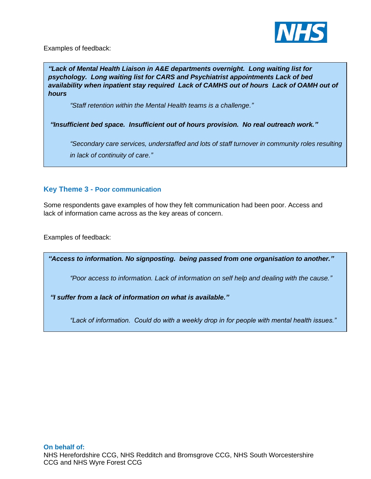

Examples of feedback:

*"Lack of Mental Health Liaison in A&E departments overnight. Long waiting list for psychology. Long waiting list for CARS and Psychiatrist appointments Lack of bed availability when inpatient stay required Lack of CAMHS out of hours Lack of OAMH out of hours*

*"Staff retention within the Mental Health teams is a challenge."*

*"Insufficient bed space. Insufficient out of hours provision. No real outreach work."*

*"Secondary care services, understaffed and lots of staff turnover in community roles resulting in lack of continuity of care."*

#### **Key Theme 3 - Poor communication**

Some respondents gave examples of how they felt communication had been poor. Access and lack of information came across as the key areas of concern.

Examples of feedback:

*"Access to information. No signposting. being passed from one organisation to another."*

*"Poor access to information. Lack of information on self help and dealing with the cause."*

*"I suffer from a lack of information on what is available."*

*"Lack of information. Could do with a weekly drop in for people with mental health issues."*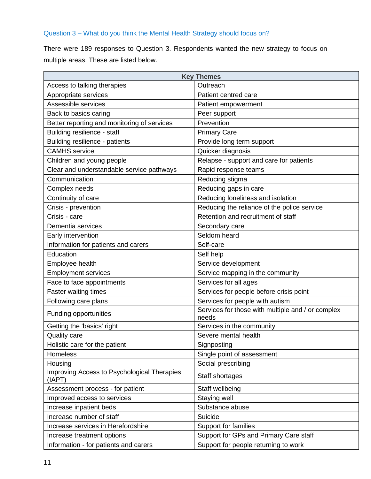#### Question 3 – What do you think the Mental Health Strategy should focus on?

There were 189 responses to Question 3. Respondents wanted the new strategy to focus on multiple areas. These are listed below.

| <b>Key Themes</b>                                     |                                                            |  |  |
|-------------------------------------------------------|------------------------------------------------------------|--|--|
| Access to talking therapies                           | Outreach                                                   |  |  |
| Appropriate services                                  | Patient centred care                                       |  |  |
| Assessible services                                   | Patient empowerment                                        |  |  |
| Back to basics caring                                 | Peer support                                               |  |  |
| Better reporting and monitoring of services           | Prevention                                                 |  |  |
| Building resilience - staff                           | <b>Primary Care</b>                                        |  |  |
| Building resilience - patients                        | Provide long term support                                  |  |  |
| <b>CAMHS</b> service                                  | Quicker diagnosis                                          |  |  |
| Children and young people                             | Relapse - support and care for patients                    |  |  |
| Clear and understandable service pathways             | Rapid response teams                                       |  |  |
| Communication                                         | Reducing stigma                                            |  |  |
| Complex needs                                         | Reducing gaps in care                                      |  |  |
| Continuity of care                                    | Reducing loneliness and isolation                          |  |  |
| Crisis - prevention                                   | Reducing the reliance of the police service                |  |  |
| Crisis - care                                         | Retention and recruitment of staff                         |  |  |
| Dementia services                                     | Secondary care                                             |  |  |
| Early intervention                                    | Seldom heard                                               |  |  |
| Information for patients and carers                   | Self-care                                                  |  |  |
| Education                                             | Self help                                                  |  |  |
| Employee health                                       | Service development                                        |  |  |
| <b>Employment services</b>                            | Service mapping in the community                           |  |  |
| Face to face appointments                             | Services for all ages                                      |  |  |
| <b>Faster waiting times</b>                           | Services for people before crisis point                    |  |  |
| Following care plans                                  | Services for people with autism                            |  |  |
| Funding opportunities                                 | Services for those with multiple and / or complex<br>needs |  |  |
| Getting the 'basics' right                            | Services in the community                                  |  |  |
| <b>Quality care</b>                                   | Severe mental health                                       |  |  |
| Holistic care for the patient                         | Signposting                                                |  |  |
| <b>Homeless</b>                                       | Single point of assessment                                 |  |  |
| Housing                                               | Social prescribing                                         |  |  |
| Improving Access to Psychological Therapies<br>(IAPT) | Staff shortages                                            |  |  |
| Assessment process - for patient                      | Staff wellbeing                                            |  |  |
| Improved access to services                           | Staying well                                               |  |  |
| Increase inpatient beds                               | Substance abuse                                            |  |  |
| Increase number of staff                              | Suicide                                                    |  |  |
| Increase services in Herefordshire                    | Support for families                                       |  |  |
| Increase treatment options                            | Support for GPs and Primary Care staff                     |  |  |
| Information - for patients and carers                 | Support for people returning to work                       |  |  |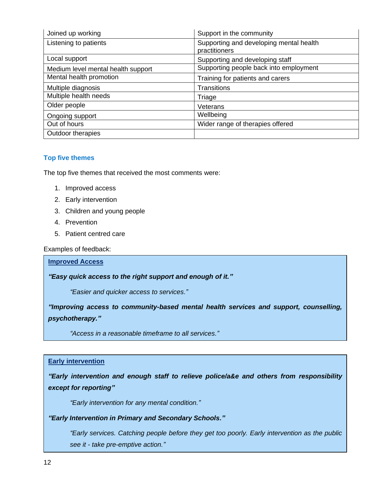| Joined up working                  | Support in the community                                 |
|------------------------------------|----------------------------------------------------------|
| Listening to patients              | Supporting and developing mental health<br>practitioners |
| Local support                      | Supporting and developing staff                          |
| Medium level mental health support | Supporting people back into employment                   |
| Mental health promotion            | Training for patients and carers                         |
| Multiple diagnosis                 | <b>Transitions</b>                                       |
| Multiple health needs              | Triage                                                   |
| Older people                       | Veterans                                                 |
| Ongoing support                    | Wellbeing                                                |
| Out of hours                       | Wider range of therapies offered                         |
| Outdoor therapies                  |                                                          |

#### **Top five themes**

The top five themes that received the most comments were:

- 1. Improved access
- 2. Early intervention
- 3. Children and young people
- 4. Prevention
- 5. Patient centred care

Examples of feedback:

#### **Improved Access**

*"Easy quick access to the right support and enough of it."*

*"Easier and quicker access to services."*

*"Improving access to community-based mental health services and support, counselling, psychotherapy."*

*"Access in a reasonable timeframe to all services."*

#### **Early intervention**

*"Early intervention and enough staff to relieve police/a&e and others from responsibility except for reporting"*

*"Early intervention for any mental condition."*

#### *"Early Intervention in Primary and Secondary Schools."*

*"Early services. Catching people before they get too poorly. Early intervention as the public see it - take pre-emptive action."*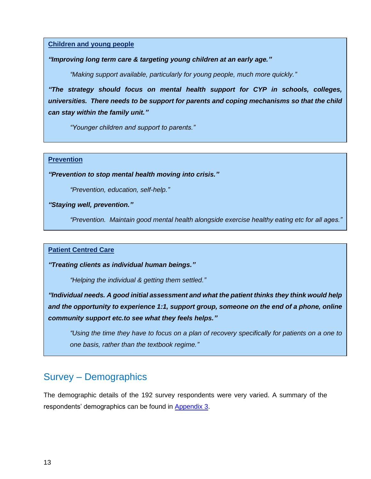#### **Children and young people**

#### *"Improving long term care & targeting young children at an early age."*

*"Making support available, particularly for young people, much more quickly."*

*"The strategy should focus on mental health support for CYP in schools, colleges, universities. There needs to be support for parents and coping mechanisms so that the child can stay within the family unit."*

*"Younger children and support to parents."*

#### **Prevention**

*"Prevention to stop mental health moving into crisis."*

*"Prevention, education, self-help."*

*"Staying well, prevention."*

*"Prevention. Maintain good mental health alongside exercise healthy eating etc for all ages."*

#### **Patient Centred Care**

*"Treating clients as individual human beings."*

*"Helping the individual & getting them settled."*

*"Individual needs. A good initial assessment and what the patient thinks they think would help and the opportunity to experience 1:1, support group, someone on the end of a phone, online community support etc.to see what they feels helps."*

*"Using the time they have to focus on a plan of recovery specifically for patients on a one to one basis, rather than the textbook regime."*

# Survey – Demographics

The demographic details of the 192 survey respondents were very varied. A summary of the respondents' demographics can be found in [Appendix 3.](#page-17-0)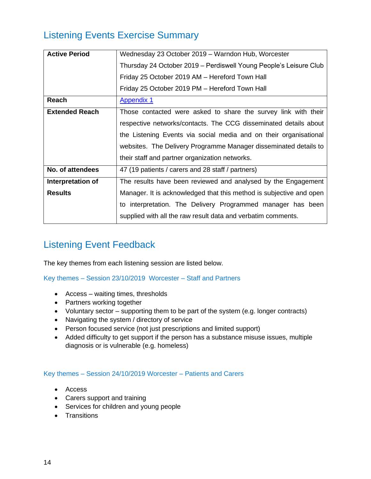# <span id="page-13-0"></span>Listening Events Exercise Summary

| <b>Active Period</b>  | Wednesday 23 October 2019 - Warndon Hub, Worcester                  |  |  |  |
|-----------------------|---------------------------------------------------------------------|--|--|--|
|                       | Thursday 24 October 2019 – Perdiswell Young People's Leisure Club   |  |  |  |
|                       | Friday 25 October 2019 AM - Hereford Town Hall                      |  |  |  |
|                       | Friday 25 October 2019 PM - Hereford Town Hall                      |  |  |  |
| Reach                 | <b>Appendix 1</b>                                                   |  |  |  |
| <b>Extended Reach</b> | Those contacted were asked to share the survey link with their      |  |  |  |
|                       | respective networks/contacts. The CCG disseminated details about    |  |  |  |
|                       | the Listening Events via social media and on their organisational   |  |  |  |
|                       | websites. The Delivery Programme Manager disseminated details to    |  |  |  |
|                       | their staff and partner organization networks.                      |  |  |  |
| No. of attendees      | 47 (19 patients / carers and 28 staff / partners)                   |  |  |  |
| Interpretation of     | The results have been reviewed and analysed by the Engagement       |  |  |  |
| <b>Results</b>        | Manager. It is acknowledged that this method is subjective and open |  |  |  |
|                       | to interpretation. The Delivery Programmed manager has been         |  |  |  |
|                       | supplied with all the raw result data and verbatim comments.        |  |  |  |
|                       |                                                                     |  |  |  |

# Listening Event Feedback

The key themes from each listening session are listed below.

Key themes – Session 23/10/2019 Worcester – Staff and Partners

- Access waiting times, thresholds
- Partners working together
- Voluntary sector supporting them to be part of the system (e.g. longer contracts)
- Navigating the system / directory of service
- Person focused service (not just prescriptions and limited support)
- Added difficulty to get support if the person has a substance misuse issues, multiple diagnosis or is vulnerable (e.g. homeless)

#### Key themes – Session 24/10/2019 Worcester – Patients and Carers

- Access
- Carers support and training
- Services for children and young people
- Transitions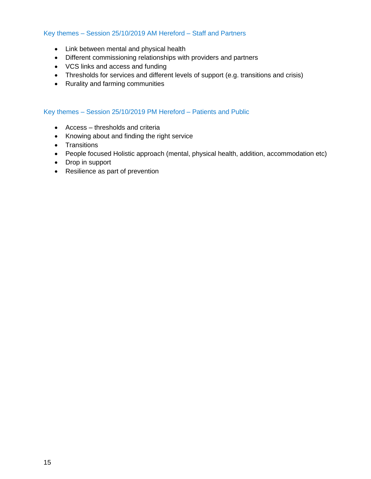#### Key themes – Session 25/10/2019 AM Hereford – Staff and Partners

- Link between mental and physical health
- Different commissioning relationships with providers and partners
- VCS links and access and funding
- Thresholds for services and different levels of support (e.g. transitions and crisis)
- Rurality and farming communities

#### Key themes – Session 25/10/2019 PM Hereford – Patients and Public

- Access thresholds and criteria
- Knowing about and finding the right service
- Transitions
- People focused Holistic approach (mental, physical health, addition, accommodation etc)
- Drop in support
- Resilience as part of prevention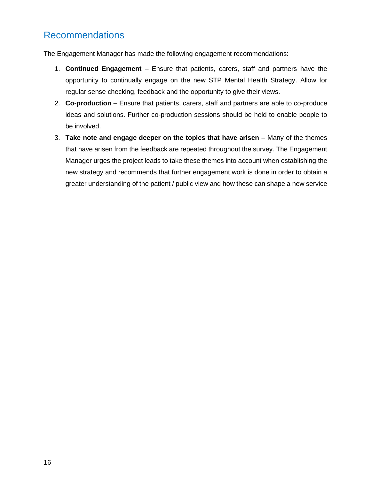## <span id="page-15-0"></span>Recommendations

The Engagement Manager has made the following engagement recommendations:

- 1. **Continued Engagement** Ensure that patients, carers, staff and partners have the opportunity to continually engage on the new STP Mental Health Strategy. Allow for regular sense checking, feedback and the opportunity to give their views.
- 2. **Co-production** Ensure that patients, carers, staff and partners are able to co-produce ideas and solutions. Further co-production sessions should be held to enable people to be involved.
- 3. **Take note and engage deeper on the topics that have arisen**  Many of the themes that have arisen from the feedback are repeated throughout the survey. The Engagement Manager urges the project leads to take these themes into account when establishing the new strategy and recommends that further engagement work is done in order to obtain a greater understanding of the patient / public view and how these can shape a new service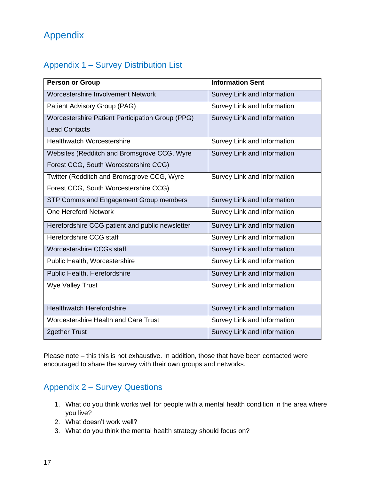# <span id="page-16-0"></span>Appendix

### <span id="page-16-1"></span>Appendix 1 – Survey Distribution List

| <b>Person or Group</b>                           | <b>Information Sent</b>     |
|--------------------------------------------------|-----------------------------|
| Worcestershire Involvement Network               | Survey Link and Information |
| Patient Advisory Group (PAG)                     | Survey Link and Information |
| Worcestershire Patient Participation Group (PPG) | Survey Link and Information |
| <b>Lead Contacts</b>                             |                             |
| <b>Healthwatch Worcestershire</b>                | Survey Link and Information |
| Websites (Redditch and Bromsgrove CCG, Wyre      | Survey Link and Information |
| Forest CCG, South Worcestershire CCG)            |                             |
| Twitter (Redditch and Bromsgrove CCG, Wyre       | Survey Link and Information |
| Forest CCG, South Worcestershire CCG)            |                             |
| STP Comms and Engagement Group members           | Survey Link and Information |
| One Hereford Network                             | Survey Link and Information |
| Herefordshire CCG patient and public newsletter  | Survey Link and Information |
| Herefordshire CCG staff                          | Survey Link and Information |
| Worcestershire CCGs staff                        | Survey Link and Information |
| Public Health, Worcestershire                    | Survey Link and Information |
| Public Health, Herefordshire                     | Survey Link and Information |
| <b>Wye Valley Trust</b>                          | Survey Link and Information |
|                                                  |                             |
| <b>Healthwatch Herefordshire</b>                 | Survey Link and Information |
| Worcestershire Health and Care Trust             | Survey Link and Information |
| <b>2gether Trust</b>                             | Survey Link and Information |

Please note – this this is not exhaustive. In addition, those that have been contacted were encouraged to share the survey with their own groups and networks.

### <span id="page-16-2"></span>Appendix 2 – Survey Questions

- 1. What do you think works well for people with a mental health condition in the area where you live?
- 2. What doesn't work well?
- 3. What do you think the mental health strategy should focus on?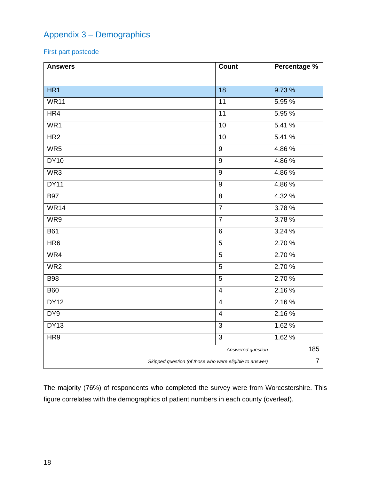## <span id="page-17-0"></span>Appendix 3 – Demographics

First part postcode

| <b>Answers</b>                                          | Count             | Percentage %   |
|---------------------------------------------------------|-------------------|----------------|
|                                                         |                   |                |
| HR1                                                     | $\overline{18}$   | 9.73%          |
| <b>WR11</b>                                             | 11                | 5.95 %         |
| HR4                                                     | $\overline{11}$   | 5.95 %         |
| WR1                                                     | 10                | 5.41 %         |
| HR2                                                     | 10                | 5.41%          |
| WR5                                                     | $\boldsymbol{9}$  | 4.86%          |
| <b>DY10</b>                                             | $\boldsymbol{9}$  | 4.86%          |
| WR3                                                     | 9                 | 4.86%          |
| <b>DY11</b>                                             | 9                 | 4.86%          |
| <b>B97</b>                                              | 8                 | 4.32 %         |
| <b>WR14</b>                                             | $\overline{7}$    | 3.78%          |
| WR9                                                     | $\overline{7}$    | 3.78 %         |
| <b>B61</b>                                              | 6                 | 3.24%          |
| HR6                                                     | 5                 | 2.70 %         |
| W <sub>R4</sub>                                         | 5                 | 2.70 %         |
| WR <sub>2</sub>                                         | 5                 | 2.70%          |
| <b>B98</b>                                              | 5                 | 2.70 %         |
| <b>B60</b>                                              | $\overline{4}$    | 2.16%          |
| DY12                                                    | $\overline{4}$    | 2.16%          |
| DY9                                                     | $\overline{4}$    | 2.16%          |
| DY13                                                    | $\overline{3}$    | 1.62 %         |
| HR9                                                     | 3                 | 1.62 %         |
|                                                         | Answered question | 185            |
| Skipped question (of those who were eligible to answer) |                   | $\overline{7}$ |

The majority (76%) of respondents who completed the survey were from Worcestershire. This figure correlates with the demographics of patient numbers in each county (overleaf).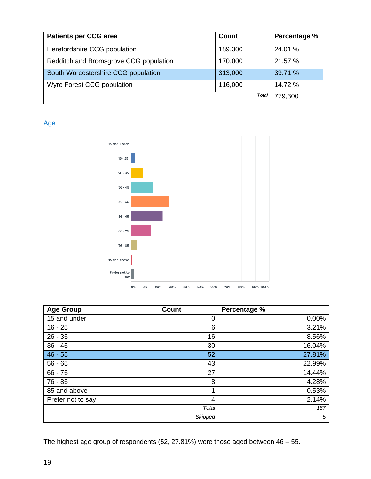| <b>Patients per CCG area</b>           | Count   | Percentage % |
|----------------------------------------|---------|--------------|
| Herefordshire CCG population           | 189,300 | 24.01 %      |
| Redditch and Bromsgrove CCG population | 170,000 | 21.57 %      |
| South Worcestershire CCG population    | 313,000 | 39.71 %      |
| Wyre Forest CCG population             | 116,000 | 14.72 %      |
|                                        | Total   | 779,300      |

Age



| <b>Age Group</b>  | <b>Count</b>   | Percentage % |
|-------------------|----------------|--------------|
| 15 and under      | 0              | 0.00%        |
| $16 - 25$         | 6              | 3.21%        |
| $26 - 35$         | 16             | 8.56%        |
| $36 - 45$         | 30             | 16.04%       |
| $46 - 55$         | 52             | 27.81%       |
| $56 - 65$         | 43             | 22.99%       |
| $66 - 75$         | 27             | 14.44%       |
| $76 - 85$         | 8              | 4.28%        |
| 85 and above      | 1              | 0.53%        |
| Prefer not to say | 4              | 2.14%        |
|                   | Total          | 187          |
|                   | <b>Skipped</b> | 5            |

The highest age group of respondents (52, 27.81%) were those aged between 46 – 55.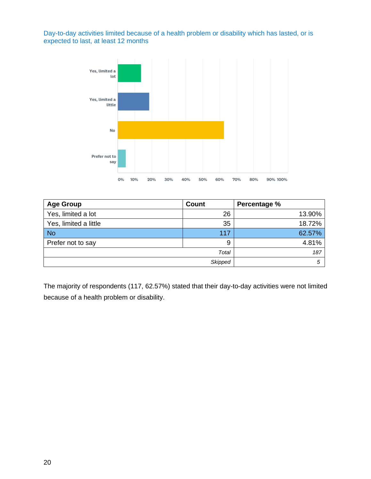Day-to-day activities limited because of a health problem or disability which has lasted, or is expected to last, at least 12 months



| <b>Age Group</b>      | <b>Count</b> | Percentage % |
|-----------------------|--------------|--------------|
| Yes, limited a lot    | 26           | 13.90%       |
| Yes, limited a little | 35           | 18.72%       |
| <b>No</b>             | 117          | 62.57%       |
| Prefer not to say     | 9            | 4.81%        |
| Total                 |              | 187          |
| <b>Skipped</b>        |              | 5            |

The majority of respondents (117, 62.57%) stated that their day-to-day activities were not limited because of a health problem or disability.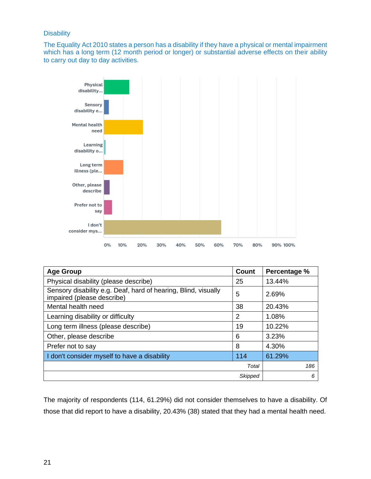#### **Disability**

The Equality Act 2010 states a person has a disability if they have a physical or mental impairment which has a long term (12 month period or longer) or substantial adverse effects on their ability to carry out day to day activities.



| <b>Age Group</b>                                                                             | <b>Count</b>   | Percentage % |
|----------------------------------------------------------------------------------------------|----------------|--------------|
| Physical disability (please describe)                                                        | 25             | 13.44%       |
| Sensory disability e.g. Deaf, hard of hearing, Blind, visually<br>impaired (please describe) | 5              | 2.69%        |
| Mental health need                                                                           | 38             | 20.43%       |
| Learning disability or difficulty                                                            | 2              | 1.08%        |
| Long term illness (please describe)                                                          | 19             | 10.22%       |
| Other, please describe                                                                       | 6              | 3.23%        |
| Prefer not to say                                                                            | 8              | 4.30%        |
| I don't consider myself to have a disability                                                 | 114            | 61.29%       |
|                                                                                              | Total          | 186          |
|                                                                                              | <b>Skipped</b> | 6            |

The majority of respondents (114, 61.29%) did not consider themselves to have a disability. Of those that did report to have a disability, 20.43% (38) stated that they had a mental health need.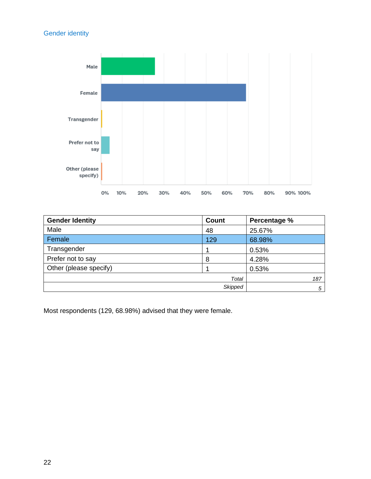#### Gender identity



| <b>Gender Identity</b> | <b>Count</b>   | Percentage % |
|------------------------|----------------|--------------|
| Male                   | 48             | 25.67%       |
| Female                 | 129            | 68.98%       |
| Transgender            |                | 0.53%        |
| Prefer not to say      | 8              | 4.28%        |
| Other (please specify) |                | 0.53%        |
|                        | Total          | 187          |
|                        | <b>Skipped</b> | 5            |

Most respondents (129, 68.98%) advised that they were female.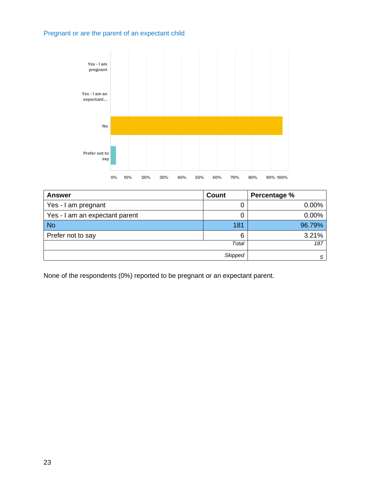#### Pregnant or are the parent of an expectant child



| <b>Answer</b>                  | <b>Count</b> | Percentage % |
|--------------------------------|--------------|--------------|
| Yes - I am pregnant            | U            | 0.00%        |
| Yes - I am an expectant parent |              | 0.00%        |
| <b>No</b>                      | 181          | 96.79%       |
| Prefer not to say              | 6            | 3.21%        |
| Total                          |              | 187          |
| <b>Skipped</b>                 |              | 5            |

None of the respondents (0%) reported to be pregnant or an expectant parent.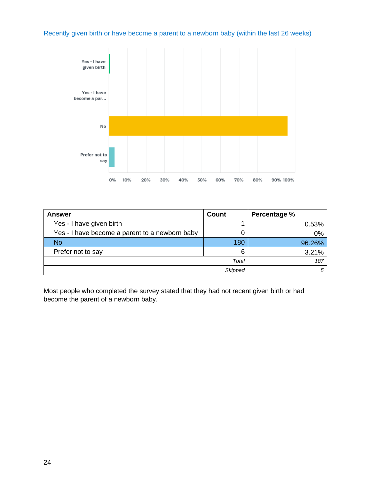Recently given birth or have become a parent to a newborn baby (within the last 26 weeks)

![](_page_23_Figure_1.jpeg)

| <b>Answer</b>                                  | <b>Count</b> | Percentage % |
|------------------------------------------------|--------------|--------------|
| Yes - I have given birth                       |              | 0.53%        |
| Yes - I have become a parent to a newborn baby |              | 0%           |
| No                                             | 180          | 96.26%       |
| Prefer not to say                              | 6            | 3.21%        |
| Total                                          |              | 187          |
| <b>Skipped</b>                                 |              |              |

Most people who completed the survey stated that they had not recent given birth or had become the parent of a newborn baby.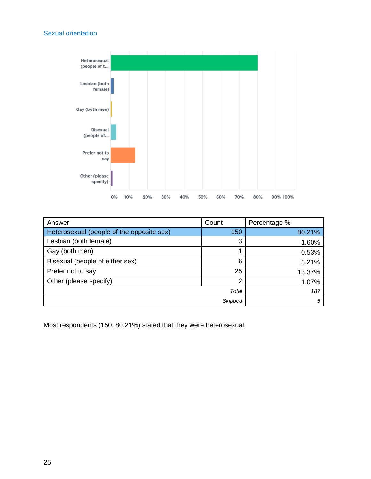#### Sexual orientation

![](_page_24_Figure_1.jpeg)

| Answer                                    | Count          | Percentage % |
|-------------------------------------------|----------------|--------------|
| Heterosexual (people of the opposite sex) | 150            | 80.21%       |
| Lesbian (both female)                     | 3              | 1.60%        |
| Gay (both men)                            |                | 0.53%        |
| Bisexual (people of either sex)           | 6              | 3.21%        |
| Prefer not to say                         | 25             | 13.37%       |
| Other (please specify)                    | 2              | 1.07%        |
|                                           | Total          | 187          |
|                                           | <b>Skipped</b> | 5            |

Most respondents (150, 80.21%) stated that they were heterosexual.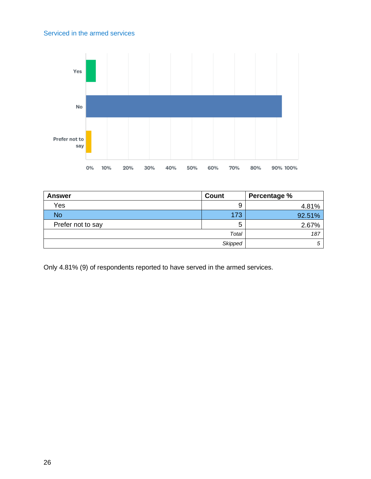#### Serviced in the armed services

![](_page_25_Figure_1.jpeg)

| <b>Answer</b>     | <b>Count</b>   | Percentage % |
|-------------------|----------------|--------------|
| Yes               | 9              | 4.81%        |
| <b>No</b>         | 173            | 92.51%       |
| Prefer not to say | 5              | 2.67%        |
| Total             |                | 187          |
|                   | <b>Skipped</b> | 5            |

Only 4.81% (9) of respondents reported to have served in the armed services.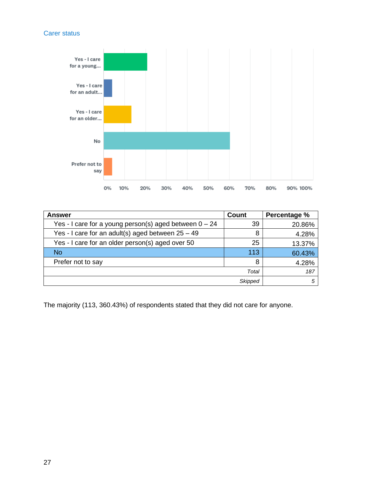#### Carer status

![](_page_26_Figure_1.jpeg)

| Answer                                                   | <b>Count</b> | Percentage % |
|----------------------------------------------------------|--------------|--------------|
| Yes - I care for a young person(s) aged between $0 - 24$ | 39           | 20.86%       |
| Yes - I care for an adult(s) aged between $25 - 49$      | 8            | 4.28%        |
| Yes - I care for an older person(s) aged over 50         | 25           | 13.37%       |
| <b>No</b>                                                | 113          | 60.43%       |
| Prefer not to say                                        | 8            | 4.28%        |
|                                                          | Total        | 187          |
|                                                          | Skipped      | 5            |

The majority (113, 360.43%) of respondents stated that they did not care for anyone.